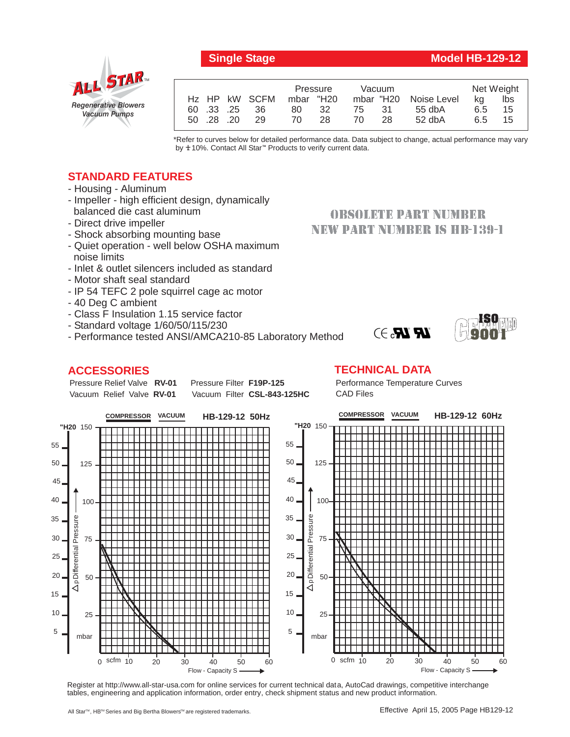**Single Stage Model HB-129-12** 

# *Regenerative Blowers Vacuum Pumps* ALL STAR

|  |          |            |                           | Pressure  |     | <b>Vacuum</b> |     |                       | Net Weight |     |
|--|----------|------------|---------------------------|-----------|-----|---------------|-----|-----------------------|------------|-----|
|  |          |            | H <sub>z</sub> HP kW SCFM | mbar "H20 |     |               |     | mbar "H20 Noise Level | ka         | lbs |
|  |          | 60 .33 .25 | 36                        | 80        | 32  | 75.           | -31 | $55$ db $A$           | 6.5        | 15  |
|  | 50 28 20 |            | 29                        | 70.       | 28. | 70            | 28  | $52$ dbA              | 6.5        | 15  |
|  |          |            |                           |           |     |               |     |                       |            |     |

\*Refer to curves below for detailed performance data. Data subject to change, actual performance may vary by **+**10%. Contact All Star<sup>™</sup> Products to verify current data.

## **STANDARD FEATURES**

- Housing Aluminum
- Impeller high efficient design, dynamically balanced die cast aluminum
- Direct drive impeller
- Shock absorbing mounting base
- Quiet operation well below OSHA maximum noise limits
- Inlet & outlet silencers included as standard
- Motor shaft seal standard
- IP 54 TEFC 2 pole squirrel cage ac motor
- 40 Deg C ambient
- Class F Insulation 1.15 service factor
- Standard voltage 1/60/50/115/230
- Performance tested ANSI/AMCA210-85 Laboratory Method

## **ACCESSORIES**

Pressure Relief Valve RV-01 Vacuum Relief Valve RV-01

**Pressure Filter F19P-125** Vacuum Filter CSL-843-125HC

## **OBSOLETE PART NUMBER** NEW PART NUMBER IS HB-139-1





### **TECHNICAL DATA**

Performance Temperature Curves CAD Files



Register at http://www.all-star-usa.com for online services for current technical data, AutoCad drawings, competitive interchange tables, engineering and application information, order entry, check shipment status and new product information.